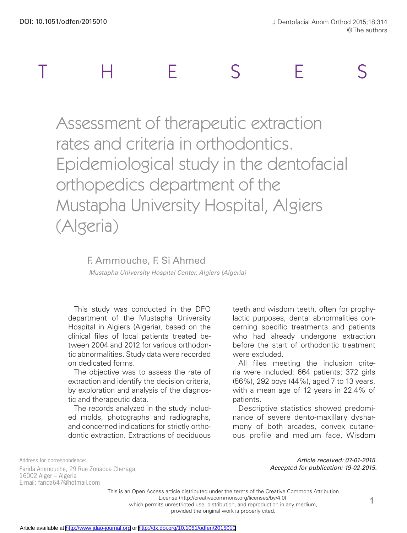

Assessment of therapeutic extraction rates and criteria in orthodontics. Epidemiological study in the dentofacial orthopedics department of the Mustapha University Hospital, Algiers (Algeria)

## F. Ammouche, F. Si Ahmed

 *Mustapha University Hospital Center, Algiers (Algeria)*

This study was conducted in the DFO department of the Mustapha University Hospital in Algiers (Algeria), based on the clinical files of local patients treated between 2004 and 2012 for various orthodontic abnormalities. Study data were recorded on dedicated forms.

The objective was to assess the rate of extraction and identify the decision criteria, by exploration and analysis of the diagnostic and therapeutic data.

The records analyzed in the study included molds, photographs and radiographs, and concerned indications for strictly orthodontic extraction. Extractions of deciduous

teeth and wisdom teeth, often for prophylactic purposes, dental abnormalities concerning specific treatments and patients who had already undergone extraction before the start of orthodontic treatment were excluded.

All files meeting the inclusion criteria were included: 664 patients; 372 girls (56%), 292 boys (44%), aged 7 to 13 years, with a mean age of 12 years in 22.4% of patients.

Descriptive statistics showed predominance of severe dento-maxillary dysharmony of both arcades, convex cutaneous profile and medium face. Wisdom

Address for correspondence: Farida Ammouche, 29 Rue Zouaoua Cheraga, 16002 Alger – Algeria E-mail: farida647@hotmail.com

*Article received: 07-01-2015. Accepted for publication: 19-02-2015.*

This is an Open Access article distributed under the terms of the Creative Commons Attribution

License (http://creativecommons.org/licenses/by/4.0),

which permits unrestricted use, distribution, and reproduction in any medium,

provided the original work is properly cited.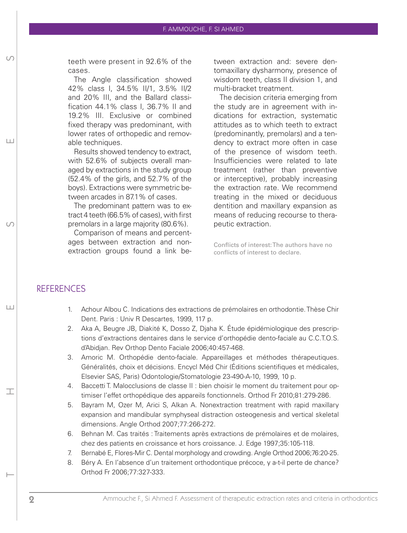teeth were present in 92.6% of the cases.

The Angle classification showed 42% class I, 34.5% II/1, 3.5% II/2 and 20% III, and the Ballard classification 44.1% class I, 36.7% II and 19.2% III. Exclusive or combined fixed therapy was predominant, with lower rates of orthopedic and removable techniques.

Results showed tendency to extract, with 52.6% of subjects overall managed by extractions in the study group (52.4% of the girls, and 52.7% of the boys). Extractions were symmetric between arcades in 87.1% of cases.

The predominant pattern was to extract 4 teeth (66.5% of cases), with first premolars in a large majority (80.6%).

Comparison of means and percentages between extraction and nonextraction groups found a link between extraction and: severe dentomaxillary dysharmony, presence of wisdom teeth, class II division 1, and multi-bracket treatment.

The decision criteria emerging from the study are in agreement with indications for extraction, systematic attitudes as to which teeth to extract (predominantly, premolars) and a tendency to extract more often in case of the presence of wisdom teeth. Insufficiencies were related to late treatment (rather than preventive or interceptive), probably increasing the extraction rate. We recommend treating in the mixed or deciduous dentition and maxillary expansion as means of reducing recourse to therapeutic extraction.

Conflicts of interest: The authors have no conflicts of interest to declare.

## **REFERENCES**

THESES IN THE SESSENT IN THE SESSENT IN THE SESSENT OF SALES IN THE SESSENT OF SALES IN THE SESSENT OF SALES IN THE SESSENT OF SALES IN THE SESSENT OF SALES IN THE SALES OF SALES OF SALES OF SALES OF SALES OF SALES OF SALE

 $\sqcup$ 

工

 $| + |$ 

- 1. Achour Albou C. Indications des extractions de prémolaires en orthodontie. Thèse Chir Dent. Paris : Univ R Descartes, 1999, 117 p.
- 2. Aka A, Beugre JB, Diakité K, Dosso Z, Djaha K. Étude épidémiologique des prescriptions d'extractions dentaires dans le service d'orthopédie dento-faciale au C.C.T.O.S. d'Abidjan. Rev Orthop Dento Faciale 2006;40:457-468.
- 3. Amoric M. Orthopédie dento-faciale. Appareillages et méthodes thérapeutiques. Généralités, choix et décisions. Encycl Méd Chir (Éditions scientifiques et médicales, Elsevier SAS, Paris) Odontologie/Stomatologie 23-490-A-10, 1999, 10 p.
- 4. Baccetti T. Malocclusions de classe II : bien choisir le moment du traitement pour optimiser l'effet orthopédique des appareils fonctionnels. Orthod Fr 2010;81:279-286.
- 5. Bayram M, Ozer M, Arici S, Alkan A. Nonextraction treatment with rapid maxillary expansion and mandibular symphyseal distraction osteogenesis and vertical skeletal dimensions. Angle Orthod 2007;77:266-272.
- 6. Behnan M. Cas traités : Traitements après extractions de prémolaires et de molaires, chez des patients en croissance et hors croissance. J. Edge 1997;35:105-118.
- 7. Bernabé E, Flores-Mir C. Dental morphology and crowding. Angle Orthod 2006;76:20-25.
- 8. Béry A. En l'absence d'un traitement orthodontique précoce, y a-t-il perte de chance? Orthod Fr 2006;77:327-333.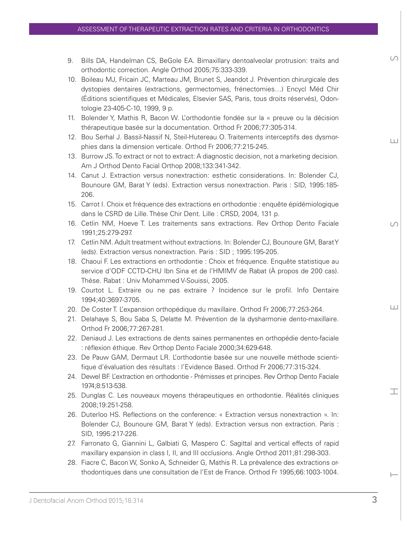- 9. Bills DA, Handelman CS, BeGole EA. Bimaxillary dentoalveolar protrusion: traits and orthodontic correction. Angle Orthod 2005;75:333-339.
- 10. Boileau MJ, Fricain JC, Marteau JM, Brunet S, Jeandot J. Prévention chirurgicale des dystopies dentaires (extractions, germectomies, frénectomies…) Encycl Méd Chir (Éditions scientifiques et Médicales, Elsevier SAS, Paris, tous droits réservés), Odontologie 23-405-C-10, 1999, 9 p.
- 11. Bolender Y, Mathis R, Bacon W. L'orthodontie fondée sur la « preuve ou la décision thérapeutique basée sur la documentation. Orthod Fr 2006;77:305-314.
- 12. Bou Serhal J. Bassil-Nassif N, Steil-Hutereau O. Traitements interceptifs des dysmorphies dans la dimension verticale. Orthod Fr 2006;77:215-245.
- 13. Burrow JS. To extract or not to extract: A diagnostic decision, not a marketing decision. Am J Orthod Dento Facial Orthop 2008;133:341-342.
- 14. Canut J. Extraction versus nonextraction: esthetic considerations. In: Bolender CJ, Bounoure GM, Barat Y (eds). Extraction versus nonextraction. Paris : SID, 1995:185- 206.
- 15. Carrot I. Choix et fréquence des extractions en orthodontie : enquête épidémiologique dans le CSRD de Lille. Thèse Chir Dent. Lille : CRSD, 2004, 131 p.
- 16. Cetlin NM, Hoeve T. Les traitements sans extractions. Rev Orthop Dento Faciale 1991;25:279-297.
- 17. Cetlin NM. Adult treatment without extractions. In: Bolender CJ, Bounoure GM, Barat Y (eds). Extraction versus nonextraction. Paris : SID ; 1995:195-205.
- 18. Chaoui F. Les extractions en orthodontie : Choix et fréquence. Enquête statistique au service d'ODF CCTD-CHU Ibn Sina et de l'HMIMV de Rabat (À propos de 200 cas). Thèse. Rabat : Univ Mohammed V-Souissi, 2005.
- 19. Courtot L. Extraire ou ne pas extraire ? Incidence sur le profil. Info Dentaire 1994;40:3697-3705.
- 20. De Coster T. L'expansion orthopédique du maxillaire. Orthod Fr 2006;77:253-264.
- 21. Delahaye S, Bou Saba S, Delatte M. Prévention de la dysharmonie dento-maxillaire. Orthod Fr 2006;77:267-281.
- 22. Deniaud J. Les extractions de dents saines permanentes en orthopédie dento-faciale : réflexion éthique. Rev Orthop Dento Faciale 2000;34:629-648.
- 23. De Pauw GAM, Dermaut LR. L'orthodontie basée sur une nouvelle méthode scientifique d'évaluation des résultats : l'Evidence Based. Orthod Fr 2006;77:315-324.
- 24. Dewel BF. L'extraction en orthodontie Prémisses et principes. Rev Orthop Dento Faciale 1974;8:513-538.
- 25. Dunglas C. Les nouveaux moyens thérapeutiques en orthodontie. Réalités cliniques 2008;19:251-258.
- 26. Duterloo HS. Reflections on the conference: « Extraction versus nonextraction ». In: Bolender CJ, Bounoure GM, Barat Y (eds). Extraction versus non extraction. Paris : SID, 1995:217-226.
- 27. Farronato G, Giannini L, Galbiati G, Maspero C. Sagittal and vertical effects of rapid maxillary expansion in class I, II, and III occlusions. Angle Orthod 2011;81:298-303.
- 28. Fiacre C, Bacon W, Sonko A, Schneider G, Mathis R. La prévalence des extractions orthodontiques dans une consultation de l'Est de France. Orthod Fr 1995;66:1003-1004.

THESES S  $\Box$ 

 $\Omega$ 

 $\sqrt{2}$ 

 $\sqcup$ 

工